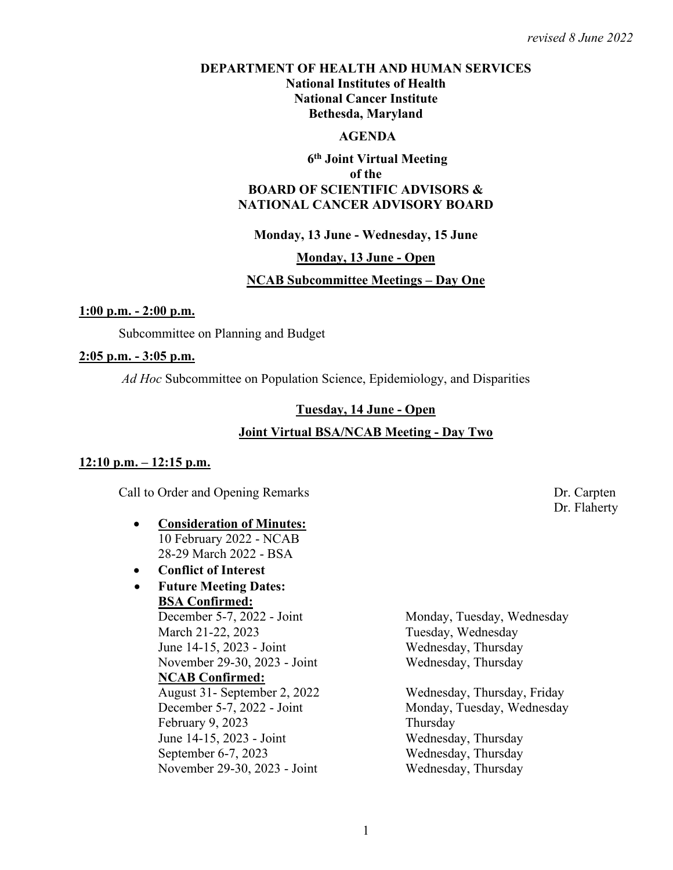### **DEPARTMENT OF HEALTH AND HUMAN SERVICES National Institutes of Health National Cancer Institute Bethesda, Maryland**

### **AGENDA**

### **6th Joint Virtual Meeting of the BOARD OF SCIENTIFIC ADVISORS & NATIONAL CANCER ADVISORY BOARD**

#### **Monday, 13 June - Wednesday, 15 June**

#### **Monday, 13 June - Open**

#### **NCAB Subcommittee Meetings – Day One**

#### **1:00 p.m. - 2:00 p.m.**

Subcommittee on Planning and Budget

#### **2:05 p.m. - 3:05 p.m.**

*Ad Hoc* Subcommittee on Population Science, Epidemiology, and Disparities

#### **Tuesday, 14 June - Open**

### **Joint Virtual BSA/NCAB Meeting - Day Two**

#### **12:10 p.m. – 12:15 p.m.**

Call to Order and Opening Remarks Dr. Carpten

- **Consideration of Minutes:**  10 February 2022 - NCAB 28-29 March 2022 - BSA
- **Conflict of Interest**
- **Future Meeting Dates: BSA Confirmed:**<br>December 5-7, 2022 - Joint March 21-22, 2023 Tuesday, Wednesday June 14-15, 2023 - Joint Wednesday, Thursday

### **NCAB Confirmed:**

 August 31- September 2, 2022 Wednesday, Thursday, Friday December 5-7, 2022 - Joint Monday, Tuesday, Wednesday February 9, 2023 Thursday June 14-15, 2023 - Joint Wednesday, Thursday September 6-7, 2023 Wednesday, Thursday November 29-30, 2023 - Joint Wednesday, Thursday

Monday, Tuesday, Wednesday November 29-30, 2023 - Joint Wednesday, Thursday

Dr. Flaherty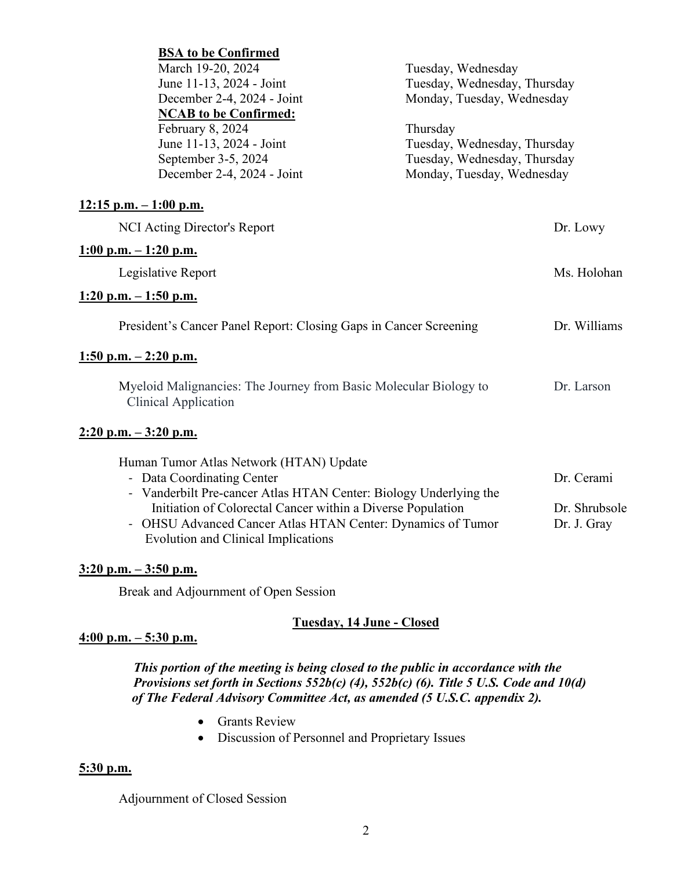| <b>BSA to be Confirmed</b>                                                                       |                              |               |
|--------------------------------------------------------------------------------------------------|------------------------------|---------------|
| March 19-20, 2024                                                                                | Tuesday, Wednesday           |               |
| June 11-13, 2024 - Joint                                                                         | Tuesday, Wednesday, Thursday |               |
| December 2-4, 2024 - Joint                                                                       | Monday, Tuesday, Wednesday   |               |
| <b>NCAB</b> to be Confirmed:                                                                     |                              |               |
| February 8, 2024                                                                                 | Thursday                     |               |
| June 11-13, 2024 - Joint                                                                         | Tuesday, Wednesday, Thursday |               |
| September 3-5, 2024                                                                              | Tuesday, Wednesday, Thursday |               |
| December 2-4, 2024 - Joint                                                                       | Monday, Tuesday, Wednesday   |               |
| $12:15$ p.m. $-1:00$ p.m.                                                                        |                              |               |
| NCI Acting Director's Report                                                                     |                              | Dr. Lowy      |
| $1:00 \text{ p.m.} - 1:20 \text{ p.m.}$                                                          |                              |               |
| Legislative Report                                                                               |                              | Ms. Holohan   |
| $1:20$ p.m. $-1:50$ p.m.                                                                         |                              |               |
| President's Cancer Panel Report: Closing Gaps in Cancer Screening                                |                              | Dr. Williams  |
| $1:50$ p.m. $-2:20$ p.m.                                                                         |                              |               |
| Myeloid Malignancies: The Journey from Basic Molecular Biology to<br><b>Clinical Application</b> |                              | Dr. Larson    |
| $2:20$ p.m. $-3:20$ p.m.                                                                         |                              |               |
| Human Tumor Atlas Network (HTAN) Update                                                          |                              |               |
| - Data Coordinating Center                                                                       |                              | Dr. Cerami    |
| - Vanderbilt Pre-cancer Atlas HTAN Center: Biology Underlying the                                |                              |               |
| Initiation of Colorectal Cancer within a Diverse Population                                      |                              | Dr. Shrubsole |
| - OHSU Advanced Cancer Atlas HTAN Center: Dynamics of Tumor                                      |                              | Dr. J. Gray   |
| <b>Evolution and Clinical Implications</b>                                                       |                              |               |
|                                                                                                  |                              |               |
| $3:20$ p.m. $-3:50$ p.m.                                                                         |                              |               |

Break and Adjournment of Open Session

### **Tuesday, 14 June - Closed**

### **4:00 p.m. – 5:30 p.m.**

 *This portion of the meeting is being closed to the public in accordance with the Provisions set forth in Sections 552b(c) (4), 552b(c) (6). Title 5 U.S. Code and 10(d) of The Federal Advisory Committee Act, as amended (5 U.S.C. appendix 2).* 

- Grants Review
- Discussion of Personnel and Proprietary Issues

# **5:30 p.m.**

Adjournment of Closed Session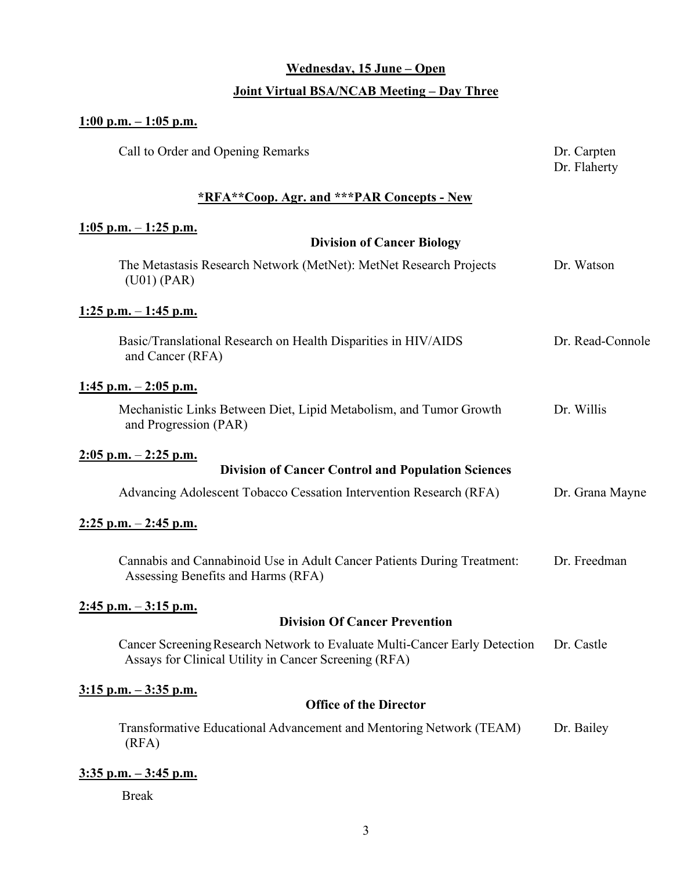# **Wednesday, 15 June – Open**

## **Joint Virtual BSA/NCAB Meeting – Day Three**

## **1:00 p.m. – 1:05 p.m.**

| Call to Order and Opening Remarks                                                                                                   | Dr. Carpten<br>Dr. Flaherty |
|-------------------------------------------------------------------------------------------------------------------------------------|-----------------------------|
| *RFA**Coop. Agr. and ***PAR Concepts - New                                                                                          |                             |
| $1:05$ p.m. $-1:25$ p.m.                                                                                                            |                             |
| <b>Division of Cancer Biology</b>                                                                                                   |                             |
| The Metastasis Research Network (MetNet): MetNet Research Projects<br>(U01) (PAR)                                                   | Dr. Watson                  |
| $1:25$ p.m. $-1:45$ p.m.                                                                                                            |                             |
| Basic/Translational Research on Health Disparities in HIV/AIDS<br>and Cancer (RFA)                                                  | Dr. Read-Connole            |
| $1:45$ p.m. $-2:05$ p.m.                                                                                                            |                             |
| Mechanistic Links Between Diet, Lipid Metabolism, and Tumor Growth<br>and Progression (PAR)                                         | Dr. Willis                  |
| $2:05$ p.m. $-2:25$ p.m.                                                                                                            |                             |
| <b>Division of Cancer Control and Population Sciences</b>                                                                           |                             |
| Advancing Adolescent Tobacco Cessation Intervention Research (RFA)                                                                  | Dr. Grana Mayne             |
| $2:25$ p.m. $-2:45$ p.m.                                                                                                            |                             |
| Cannabis and Cannabinoid Use in Adult Cancer Patients During Treatment:<br>Assessing Benefits and Harms (RFA)                       | Dr. Freedman                |
| $2:45$ p.m. $-3:15$ p.m.                                                                                                            |                             |
| <b>Division Of Cancer Prevention</b>                                                                                                |                             |
| Cancer Screening Research Network to Evaluate Multi-Cancer Early Detection<br>Assays for Clinical Utility in Cancer Screening (RFA) | Dr. Castle                  |
| $3:15$ p.m. $-3:35$ p.m.                                                                                                            |                             |
| <b>Office of the Director</b>                                                                                                       |                             |
| Transformative Educational Advancement and Mentoring Network (TEAM)<br>(RFA)                                                        | Dr. Bailey                  |
| $3:35$ p.m. $-3:45$ p.m.                                                                                                            |                             |
| <b>Break</b>                                                                                                                        |                             |